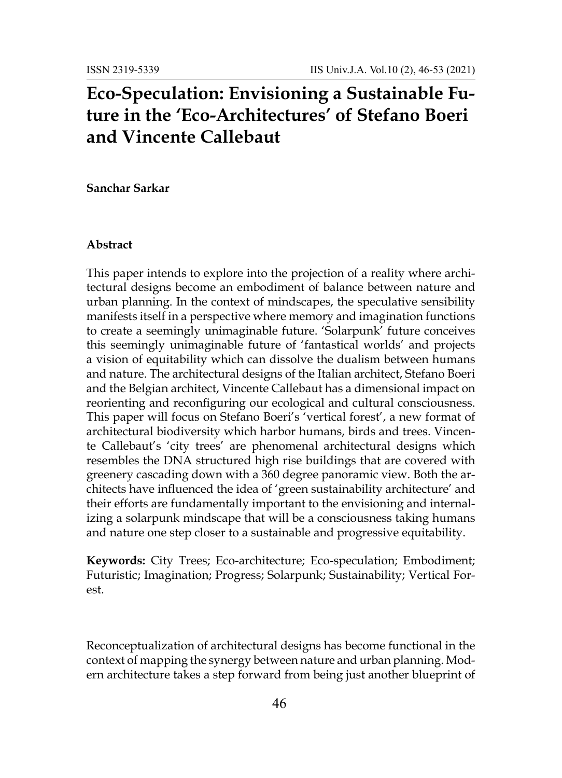# **Eco-Speculation: Envisioning a Sustainable Future in the 'Eco-Architectures' of Stefano Boeri and Vincente Callebaut**

**Sanchar Sarkar**

#### **Abstract**

This paper intends to explore into the projection of a reality where architectural designs become an embodiment of balance between nature and urban planning. In the context of mindscapes, the speculative sensibility manifests itself in a perspective where memory and imagination functions to create a seemingly unimaginable future. 'Solarpunk' future conceives this seemingly unimaginable future of 'fantastical worlds' and projects a vision of equitability which can dissolve the dualism between humans and nature. The architectural designs of the Italian architect, Stefano Boeri and the Belgian architect, Vincente Callebaut has a dimensional impact on reorienting and reconfiguring our ecological and cultural consciousness. This paper will focus on Stefano Boeri's 'vertical forest', a new format of architectural biodiversity which harbor humans, birds and trees. Vincente Callebaut's 'city trees' are phenomenal architectural designs which resembles the DNA structured high rise buildings that are covered with greenery cascading down with a 360 degree panoramic view. Both the architects have influenced the idea of 'green sustainability architecture' and their efforts are fundamentally important to the envisioning and internalizing a solarpunk mindscape that will be a consciousness taking humans and nature one step closer to a sustainable and progressive equitability.

**Keywords:** City Trees; Eco-architecture; Eco-speculation; Embodiment; Futuristic; Imagination; Progress; Solarpunk; Sustainability; Vertical Forest.

Reconceptualization of architectural designs has become functional in the context of mapping the synergy between nature and urban planning. Modern architecture takes a step forward from being just another blueprint of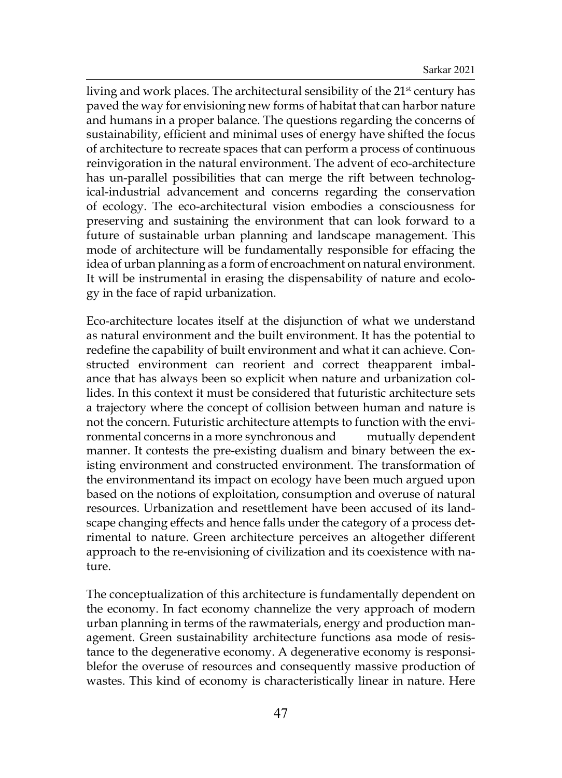living and work places. The architectural sensibility of the 21<sup>st</sup> century has paved the way for envisioning new forms of habitat that can harbor nature and humans in a proper balance. The questions regarding the concerns of sustainability, efficient and minimal uses of energy have shifted the focus of architecture to recreate spaces that can perform a process of continuous reinvigoration in the natural environment. The advent of eco-architecture has un-parallel possibilities that can merge the rift between technological-industrial advancement and concerns regarding the conservation of ecology. The eco-architectural vision embodies a consciousness for preserving and sustaining the environment that can look forward to a future of sustainable urban planning and landscape management. This mode of architecture will be fundamentally responsible for effacing the idea of urban planning as a form of encroachment on natural environment. It will be instrumental in erasing the dispensability of nature and ecology in the face of rapid urbanization.

Eco-architecture locates itself at the disjunction of what we understand as natural environment and the built environment. It has the potential to redefine the capability of built environment and what it can achieve. Constructed environment can reorient and correct theapparent imbalance that has always been so explicit when nature and urbanization collides. In this context it must be considered that futuristic architecture sets a trajectory where the concept of collision between human and nature is not the concern. Futuristic architecture attempts to function with the environmental concerns in a more synchronous and mutually dependent manner. It contests the pre-existing dualism and binary between the existing environment and constructed environment. The transformation of the environmentand its impact on ecology have been much argued upon based on the notions of exploitation, consumption and overuse of natural resources. Urbanization and resettlement have been accused of its landscape changing effects and hence falls under the category of a process detrimental to nature. Green architecture perceives an altogether different approach to the re-envisioning of civilization and its coexistence with nature.

The conceptualization of this architecture is fundamentally dependent on the economy. In fact economy channelize the very approach of modern urban planning in terms of the rawmaterials, energy and production management. Green sustainability architecture functions asa mode of resistance to the degenerative economy. A degenerative economy is responsiblefor the overuse of resources and consequently massive production of wastes. This kind of economy is characteristically linear in nature. Here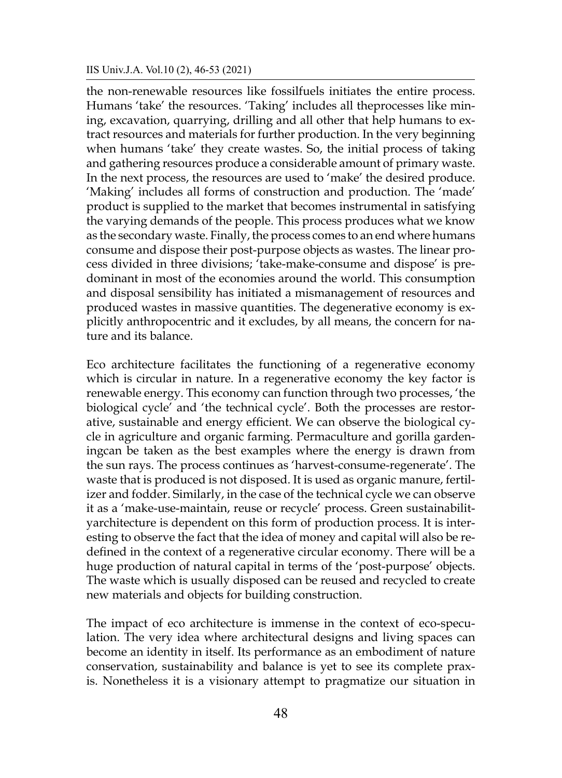the non-renewable resources like fossilfuels initiates the entire process. Humans 'take' the resources. 'Taking' includes all theprocesses like mining, excavation, quarrying, drilling and all other that help humans to extract resources and materials for further production. In the very beginning when humans 'take' they create wastes. So, the initial process of taking and gathering resources produce a considerable amount of primary waste. In the next process, the resources are used to 'make' the desired produce. 'Making' includes all forms of construction and production. The 'made' product is supplied to the market that becomes instrumental in satisfying the varying demands of the people. This process produces what we know as the secondary waste. Finally, the process comes to an end where humans consume and dispose their post-purpose objects as wastes. The linear process divided in three divisions; 'take-make-consume and dispose' is predominant in most of the economies around the world. This consumption and disposal sensibility has initiated a mismanagement of resources and produced wastes in massive quantities. The degenerative economy is explicitly anthropocentric and it excludes, by all means, the concern for nature and its balance.

Eco architecture facilitates the functioning of a regenerative economy which is circular in nature. In a regenerative economy the key factor is renewable energy. This economy can function through two processes, 'the biological cycle' and 'the technical cycle'. Both the processes are restorative, sustainable and energy efficient. We can observe the biological cycle in agriculture and organic farming. Permaculture and gorilla gardeningcan be taken as the best examples where the energy is drawn from the sun rays. The process continues as 'harvest-consume-regenerate'. The waste that is produced is not disposed. It is used as organic manure, fertilizer and fodder. Similarly, in the case of the technical cycle we can observe it as a 'make-use-maintain, reuse or recycle' process. Green sustainabilityarchitecture is dependent on this form of production process. It is interesting to observe the fact that the idea of money and capital will also be redefined in the context of a regenerative circular economy. There will be a huge production of natural capital in terms of the 'post-purpose' objects. The waste which is usually disposed can be reused and recycled to create new materials and objects for building construction.

The impact of eco architecture is immense in the context of eco-speculation. The very idea where architectural designs and living spaces can become an identity in itself. Its performance as an embodiment of nature conservation, sustainability and balance is yet to see its complete praxis. Nonetheless it is a visionary attempt to pragmatize our situation in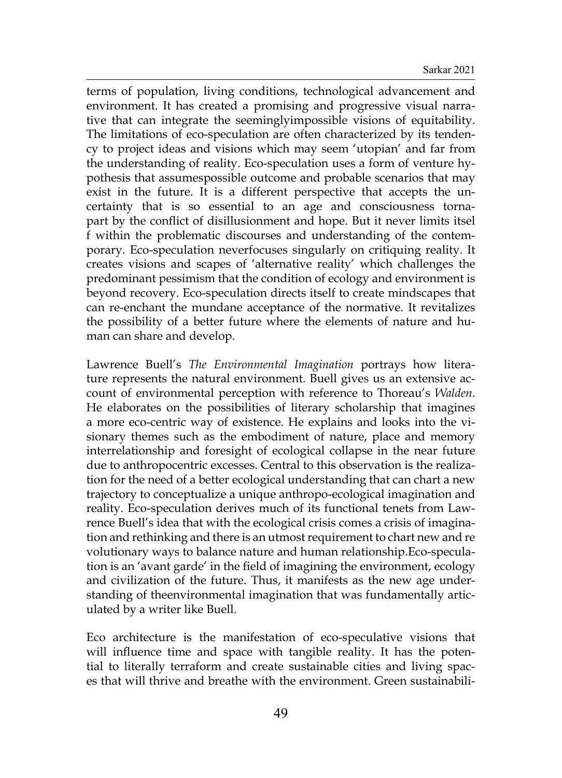terms of population, living conditions, technological advancement and environment. It has created a promising and progressive visual narrative that can integrate the seeminglyimpossible visions of equitability. The limitations of eco-speculation are often characterized by its tendency to project ideas and visions which may seem 'utopian' and far from the understanding of reality. Eco-speculation uses a form of venture hypothesis that assumespossible outcome and probable scenarios that may exist in the future. It is a different perspective that accepts the uncertainty that is so essential to an age and consciousness tornapart by the conflict of disillusionment and hope. But it never limits itsel f within the problematic discourses and understanding of the contemporary. Eco-speculation neverfocuses singularly on critiquing reality. It creates visions and scapes of 'alternative reality' which challenges the predominant pessimism that the condition of ecology and environment is beyond recovery. Eco-speculation directs itself to create mindscapes that can re-enchant the mundane acceptance of the normative. It revitalizes the possibility of a better future where the elements of nature and human can share and develop.

Lawrence Buell's *The Environmental Imagination* portrays how literature represents the natural environment. Buell gives us an extensive account of environmental perception with reference to Thoreau's *Walden*. He elaborates on the possibilities of literary scholarship that imagines a more eco-centric way of existence. He explains and looks into the visionary themes such as the embodiment of nature, place and memory interrelationship and foresight of ecological collapse in the near future due to anthropocentric excesses. Central to this observation is the realization for the need of a better ecological understanding that can chart a new trajectory to conceptualize a unique anthropo-ecological imagination and reality. Eco-speculation derives much of its functional tenets from Lawrence Buell's idea that with the ecological crisis comes a crisis of imagination and rethinking and there is an utmost requirement to chart new and re volutionary ways to balance nature and human relationship.Eco-speculation is an 'avant garde' in the field of imagining the environment, ecology and civilization of the future. Thus, it manifests as the new age understanding of theenvironmental imagination that was fundamentally articulated by a writer like Buell.

Eco architecture is the manifestation of eco-speculative visions that will influence time and space with tangible reality. It has the potential to literally terraform and create sustainable cities and living spaces that will thrive and breathe with the environment. Green sustainabili-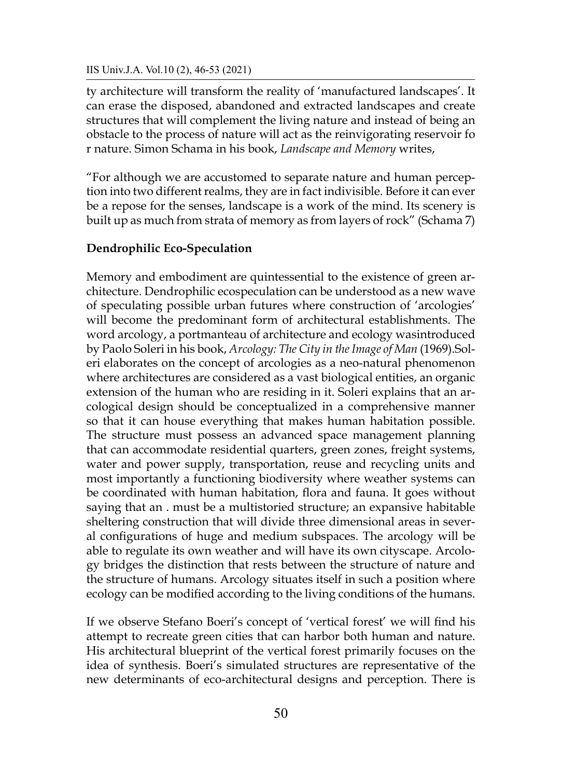#### IIS Univ.J.A. Vol.10 (2), 46-53 (2021)

ty architecture will transform the reality of 'manufactured landscapes'. It can erase the disposed, abandoned and extracted landscapes and create structures that will complement the living nature and instead of being an obstacle to the process of nature will act as the reinvigorating reservoir fo r nature. Simon Schama in his book, *Landscape and Memory* writes,

"For although we are accustomed to separate nature and human perception into two different realms, they are in fact indivisible. Before it can ever be a repose for the senses, landscape is a work of the mind. Its scenery is built up as much from strata of memory as from layers of rock" (Schama 7)

### **Dendrophilic Eco-Speculation**

Memory and embodiment are quintessential to the existence of green architecture. Dendrophilic ecospeculation can be understood as a new wave of speculating possible urban futures where construction of 'arcologies' will become the predominant form of architectural establishments. The word arcology, a portmanteau of architecture and ecology wasintroduced by Paolo Soleri in his book, *Arcology: The City in the Image of Man* (1969).Soleri elaborates on the concept of arcologies as a neo-natural phenomenon where architectures are considered as a vast biological entities, an organic extension of the human who are residing in it. Soleri explains that an arcological design should be conceptualized in a comprehensive manner so that it can house everything that makes human habitation possible. The structure must possess an advanced space management planning that can accommodate residential quarters, green zones, freight systems, water and power supply, transportation, reuse and recycling units and most importantly a functioning biodiversity where weather systems can be coordinated with human habitation, flora and fauna. It goes without saying that an . must be a multistoried structure; an expansive habitable sheltering construction that will divide three dimensional areas in several configurations of huge and medium subspaces. The arcology will be able to regulate its own weather and will have its own cityscape. Arcology bridges the distinction that rests between the structure of nature and the structure of humans. Arcology situates itself in such a position where ecology can be modified according to the living conditions of the humans.

If we observe Stefano Boeri's concept of 'vertical forest' we will find his attempt to recreate green cities that can harbor both human and nature. His architectural blueprint of the vertical forest primarily focuses on the idea of synthesis. Boeri's simulated structures are representative of the new determinants of eco-architectural designs and perception. There is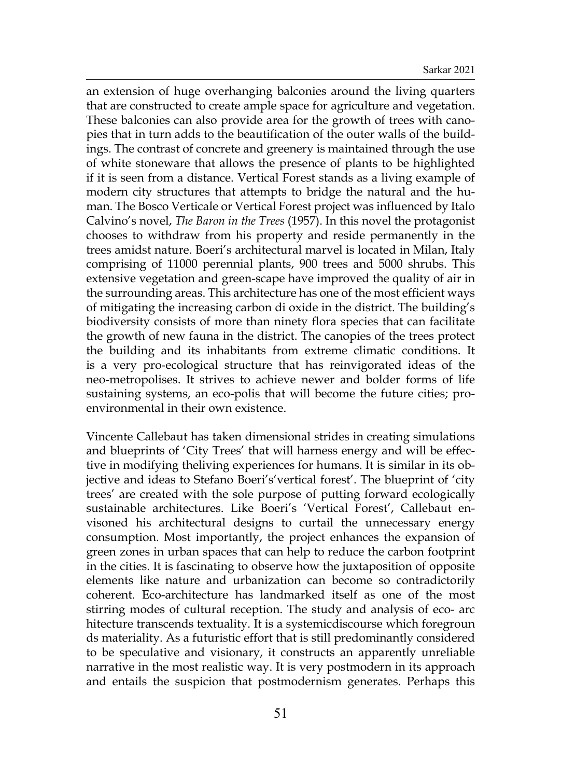an extension of huge overhanging balconies around the living quarters that are constructed to create ample space for agriculture and vegetation. These balconies can also provide area for the growth of trees with canopies that in turn adds to the beautification of the outer walls of the buildings. The contrast of concrete and greenery is maintained through the use of white stoneware that allows the presence of plants to be highlighted if it is seen from a distance. Vertical Forest stands as a living example of modern city structures that attempts to bridge the natural and the human. The Bosco Verticale or Vertical Forest project was influenced by Italo Calvino's novel, *The Baron in the Trees* (1957). In this novel the protagonist chooses to withdraw from his property and reside permanently in the trees amidst nature. Boeri's architectural marvel is located in Milan, Italy comprising of 11000 perennial plants, 900 trees and 5000 shrubs. This extensive vegetation and green-scape have improved the quality of air in the surrounding areas. This architecture has one of the most efficient ways of mitigating the increasing carbon di oxide in the district. The building's biodiversity consists of more than ninety flora species that can facilitate the growth of new fauna in the district. The canopies of the trees protect the building and its inhabitants from extreme climatic conditions. It is a very pro-ecological structure that has reinvigorated ideas of the neo-metropolises. It strives to achieve newer and bolder forms of life sustaining systems, an eco-polis that will become the future cities; proenvironmental in their own existence.

Vincente Callebaut has taken dimensional strides in creating simulations and blueprints of 'City Trees' that will harness energy and will be effective in modifying theliving experiences for humans. It is similar in its objective and ideas to Stefano Boeri's'vertical forest'. The blueprint of 'city trees' are created with the sole purpose of putting forward ecologically sustainable architectures. Like Boeri's 'Vertical Forest', Callebaut envisoned his architectural designs to curtail the unnecessary energy consumption. Most importantly, the project enhances the expansion of green zones in urban spaces that can help to reduce the carbon footprint in the cities. It is fascinating to observe how the juxtaposition of opposite elements like nature and urbanization can become so contradictorily coherent. Eco-architecture has landmarked itself as one of the most stirring modes of cultural reception. The study and analysis of eco- arc hitecture transcends textuality. It is a systemicdiscourse which foregroun ds materiality. As a futuristic effort that is still predominantly considered to be speculative and visionary, it constructs an apparently unreliable narrative in the most realistic way. It is very postmodern in its approach and entails the suspicion that postmodernism generates. Perhaps this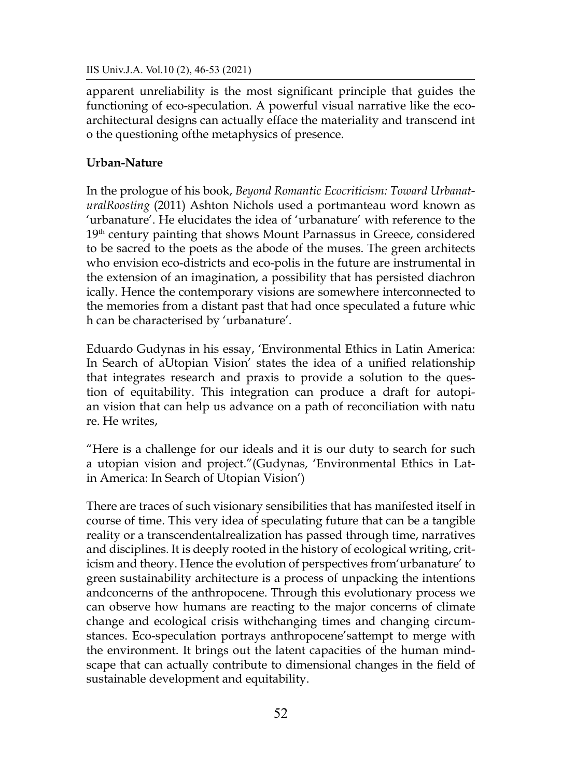IIS Univ.J.A. Vol.10 (2), 46-53 (2021)

apparent unreliability is the most significant principle that guides the functioning of eco-speculation. A powerful visual narrative like the ecoarchitectural designs can actually efface the materiality and transcend int o the questioning ofthe metaphysics of presence.

## **Urban-Nature**

In the prologue of his book, *Beyond Romantic Ecocriticism: Toward UrbanaturalRoosting* (2011) Ashton Nichols used a portmanteau word known as 'urbanature'. He elucidates the idea of 'urbanature' with reference to the 19<sup>th</sup> century painting that shows Mount Parnassus in Greece, considered to be sacred to the poets as the abode of the muses. The green architects who envision eco-districts and eco-polis in the future are instrumental in the extension of an imagination, a possibility that has persisted diachron ically. Hence the contemporary visions are somewhere interconnected to the memories from a distant past that had once speculated a future whic h can be characterised by 'urbanature'.

Eduardo Gudynas in his essay, 'Environmental Ethics in Latin America: In Search of aUtopian Vision' states the idea of a unified relationship that integrates research and praxis to provide a solution to the question of equitability. This integration can produce a draft for autopian vision that can help us advance on a path of reconciliation with natu re. He writes,

"Here is a challenge for our ideals and it is our duty to search for such a utopian vision and project."(Gudynas, 'Environmental Ethics in Latin America: In Search of Utopian Vision')

There are traces of such visionary sensibilities that has manifested itself in course of time. This very idea of speculating future that can be a tangible reality or a transcendentalrealization has passed through time, narratives and disciplines. It is deeply rooted in the history of ecological writing, criticism and theory. Hence the evolution of perspectives from'urbanature' to green sustainability architecture is a process of unpacking the intentions andconcerns of the anthropocene. Through this evolutionary process we can observe how humans are reacting to the major concerns of climate change and ecological crisis withchanging times and changing circumstances. Eco-speculation portrays anthropocene'sattempt to merge with the environment. It brings out the latent capacities of the human mindscape that can actually contribute to dimensional changes in the field of sustainable development and equitability.